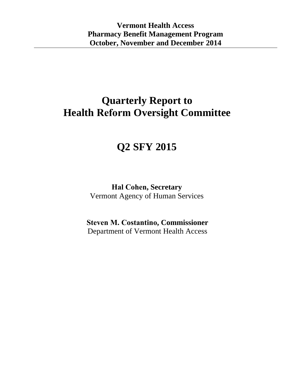## **Quarterly Report to Health Reform Oversight Committee**

# **Q2 SFY 2015**

**Hal Cohen, Secretary**  Vermont Agency of Human Services

**Steven M. Costantino, Commissioner** Department of Vermont Health Access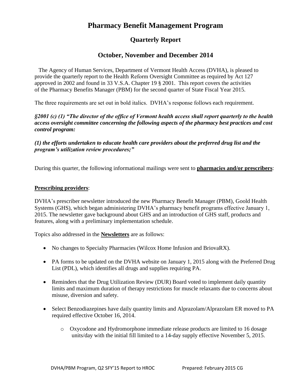### **Pharmacy Benefit Management Program**

### **Quarterly Report**

#### **October, November and December 2014**

 The Agency of Human Services, Department of Vermont Health Access (DVHA), is pleased to provide the quarterly report to the Health Reform Oversight Committee as required by Act 127 approved in 2002 and found in 33 V.S.A. Chapter 19 § 2001. This report covers the activities of the Pharmacy Benefits Manager (PBM) for the second quarter of State Fiscal Year 2015.

The three requirements are set out in bold italics. DVHA's response follows each requirement.

*§2001 (c) (1) "The director of the office of Vermont health access shall report quarterly to the health access oversight committee concerning the following aspects of the pharmacy best practices and cost control program:* 

*(1) the efforts undertaken to educate health care providers about the preferred drug list and the program's utilization review procedures;"*

During this quarter, the following informational mailings were sent to **pharmacies and/or prescribers**:

#### **Prescribing providers**:

DVHA's prescriber newsletter introduced the new Pharmacy Benefit Manager (PBM), Goold Health Systems (GHS), which began administering DVHA's pharmacy benefit programs effective January 1, 2015. The newsletter gave background about GHS and an introduction of GHS staff, products and features, along with a preliminary implementation schedule.

Topics also addressed in the **Newsletters** are as follows:

- No changes to Specialty Pharmacies (Wilcox Home Infusion and BriovaRX).
- PA forms to be updated on the DVHA website on January 1, 2015 along with the Preferred Drug List (PDL), which identifies all drugs and supplies requiring PA.
- Reminders that the Drug Utilization Review (DUR) Board voted to implement daily quantity limits and maximum duration of therapy restrictions for muscle relaxants due to concerns about misuse, diversion and safety.
- Select Benzodiazepines have daily quantity limits and Alprazolam/Alprazolam ER moved to PA required effective October 16, 2014.
	- o Oxycodone and Hydromorphone immediate release products are limited to 16 dosage units/day with the initial fill limited to a 14-day supply effective November 5, 2015.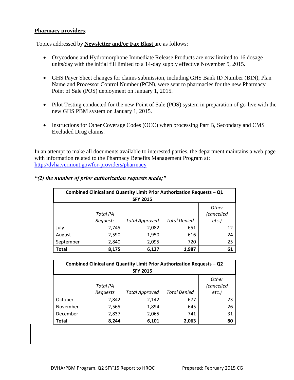#### **Pharmacy providers**:

Topics addressed by **Newsletter and/or Fax Blast** are as follows:

- Oxycodone and Hydromorphone Immediate Release Products are now limited to 16 dosage units/day with the initial fill limited to a 14-day supply effective November 5, 2015.
- GHS Payer Sheet changes for claims submission, including GHS Bank ID Number (BIN), Plan Name and Processor Control Number (PCN), were sent to pharmacies for the new Pharmacy Point of Sale (POS) deployment on January 1, 2015.
- Pilot Testing conducted for the new Point of Sale (POS) system in preparation of go-live with the new GHS PBM system on January 1, 2015.
- Instructions for Other Coverage Codes (OCC) when processing Part B, Secondary and CMS Excluded Drug claims.

In an attempt to make all documents available to interested parties, the department maintains a web page with information related to the Pharmacy Benefits Management Program at: <http://dvha.vermont.gov/for-providers/pharmacy>

|              | Combined Clinical and Quantity Limit Prior Authorization Requests - Q1 |                       |                     |              |
|--------------|------------------------------------------------------------------------|-----------------------|---------------------|--------------|
|              |                                                                        | <b>SFY 2015</b>       |                     |              |
|              |                                                                        |                       |                     | <b>Other</b> |
|              | <b>Total PA</b>                                                        |                       |                     | (cancelled   |
|              | Requests                                                               | <b>Total Approved</b> | <b>Total Denied</b> | $etc.$ )     |
| July         | 2,745                                                                  | 2,082                 | 651                 | 12           |
| August       | 2,590                                                                  | 1,950                 | 616                 | 24           |
| September    | 2,840                                                                  | 2,095                 | 720                 | 25           |
| <b>Total</b> | 8,175                                                                  | 6,127                 | 1,987               | 61           |

*"(2) the number of prior authorization requests made;"*

|              | Combined Clinical and Quantity Limit Prior Authorization Requests - Q2 |                       |                     |              |
|--------------|------------------------------------------------------------------------|-----------------------|---------------------|--------------|
|              |                                                                        | <b>SFY 2015</b>       |                     |              |
|              |                                                                        |                       |                     | <b>Other</b> |
|              | <b>Total PA</b>                                                        |                       |                     | (cancelled   |
|              | Requests                                                               | <b>Total Approved</b> | <b>Total Denied</b> | $etc.$ )     |
| October      | 2,842                                                                  | 2,142                 | 677                 | 23           |
| November     | 2,565                                                                  | 1,894                 | 645                 | 26           |
| December     | 2,837                                                                  | 2,065                 | 741                 | 31           |
| <b>Total</b> | 8,244                                                                  | 6,101                 | 2,063               | 80           |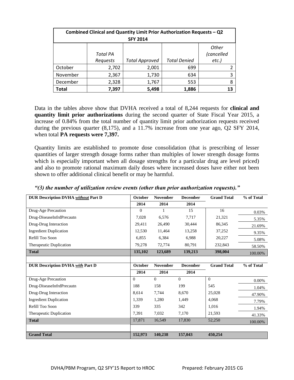|          | Combined Clinical and Quantity Limit Prior Authorization Requests - Q2 |                       |                     |            |
|----------|------------------------------------------------------------------------|-----------------------|---------------------|------------|
|          |                                                                        | <b>SFY 2014</b>       |                     |            |
|          |                                                                        |                       |                     | Other      |
|          | <b>Total PA</b>                                                        |                       |                     | (cancelled |
|          | Requests                                                               | <b>Total Approved</b> | <b>Total Denied</b> | $etc.$ )   |
| October  | 2,702                                                                  | 2,001                 | 699                 |            |
| November | 2,367                                                                  | 1,730                 | 634                 |            |
| December | 2,328                                                                  | 1,767                 | 553                 | 8          |
| Total    | 7,397                                                                  | 5,498                 | 1,886               | 13         |

Data in the tables above show that DVHA received a total of 8,244 requests for **clinical and quantity limit prior authorizations** during the second quarter of State Fiscal Year 2015, a increase of 0.84% from the total number of quantity limit prior authorization requests received during the previous quarter (8,175), and a 11.7% increase from one year ago, Q2 SFY 2014, when total **PA requests were 7,397.** 

Quantity limits are established to promote dose consolidation (that is prescribing of lesser quantities of larger strength dosage forms rather than multiples of lower strength dosage forms which is especially important when all dosage strengths for a particular drug are level priced) and also to promote rational maximum daily doses where increased doses have either not been shown to offer additional clinical benefit or may be harmful.

| <b>DUR Description DVHA without Part D</b> | October  | <b>November</b> | <b>December</b> | <b>Grand Total</b> | % of Total |
|--------------------------------------------|----------|-----------------|-----------------|--------------------|------------|
|                                            | 2014     | 2014            | 2014            |                    |            |
| Drug-Age Precaution                        | $\Omega$ |                 | 15              | 16                 | 0.03%      |
| Drug-DiseaseInfrdPrecautn                  | 7,028    | 6,576           | 7,717           | 21,321             | 5.35%      |
| Drug-Drug Interaction                      | 29,411   | 26,490          | 30,444          | 86,345             | 21.69%     |
| <b>Ingredient Duplication</b>              | 12,530   | 11,464          | 13,258          | 37,252             | 9.35%      |
| Refill Too Soon                            | 6,855    | 6,384           | 6,988           | 20,227             | 5.08%      |
| Therapeutic Duplication                    | 79,278   | 72,774          | 80,791          | 232,843            | 58.50%     |
| <b>Total</b>                               | 135,102  | 123,689         | 139,213         | 398,004            | 100.00%    |
|                                            |          |                 |                 |                    |            |
| <b>DUR Description DVHA with Part D</b>    | October  | <b>November</b> | <b>December</b> | <b>Grand Total</b> | % of Total |
|                                            | 2014     | 2014            | 2014            |                    |            |
| Drug-Age Precaution                        | $\Omega$ | $\Omega$        | $\Omega$        | $\overline{0}$     | 0.00%      |
| Drug-DiseaseInfrdPrecautn                  | 188      | 158             | 199             | 545                | 1.04%      |
| Drug-Drug Interaction                      | 8,614    | 7,744           | 8,670           | 25,028             | 47.90%     |
| <b>Ingredient Duplication</b>              | 1,339    | 1,280           | 1,449           | 4,068              | 7.79%      |
| Refill Too Soon                            | 339      | 335             | 342             | 1,016              | 1.94%      |
| Therapeutic Duplication                    | 7,391    | 7,032           | 7,170           | 21,593             | 41.33%     |
| <b>Total</b>                               | 17,871   | 16,549          | 17,830          | 52,250             | 100.00%    |
|                                            |          |                 |                 |                    |            |
| <b>Grand Total</b>                         | 152,973  | 140,238         | 157,043         | 450,254            |            |

*"(3) the number of utilization review events (other than prior authorization requests)."*